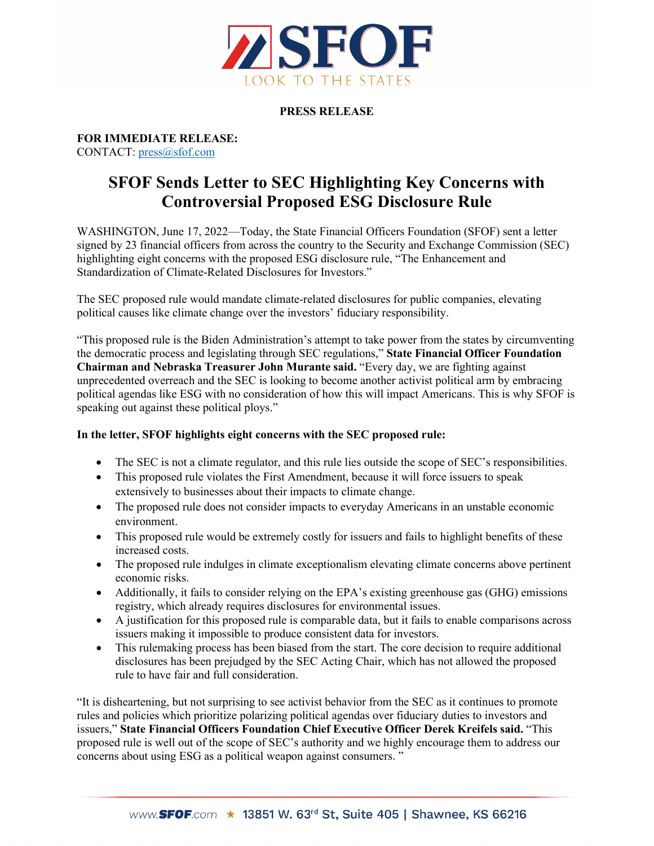

## **PRESS RELEASE**

**FOR IMMEDIATE RELEASE:** CONTACT: [press@sfof.com](mailto:press@sfof.com)

## **SFOF Sends Letter to SEC Highlighting Key Concerns with Controversial Proposed ESG Disclosure Rule**

WASHINGTON, June 17, 2022—Today, the State Financial Officers Foundation (SFOF) sent a letter signed by 23 financial officers from across the country to the Security and Exchange Commission (SEC) highlighting eight concerns with the proposed ESG disclosure rule, "The Enhancement and Standardization of Climate-Related Disclosures for Investors."

The SEC proposed rule would mandate climate-related disclosures for public companies, elevating political causes like climate change over the investors' fiduciary responsibility.

"This proposed rule is the Biden Administration's attempt to take power from the states by circumventing the democratic process and legislating through SEC regulations," **State Financial Officer Foundation Chairman and Nebraska Treasurer John Murante said.** "Every day, we are fighting against unprecedented overreach and the SEC is looking to become another activist political arm by embracing political agendas like ESG with no consideration of how this will impact Americans. This is why SFOF is speaking out against these political ploys."

## **In the letter, SFOF highlights eight concerns with the SEC proposed rule:**

- The SEC is not a climate regulator, and this rule lies outside the scope of SEC's responsibilities.
- This proposed rule violates the First Amendment, because it will force issuers to speak extensively to businesses about their impacts to climate change.
- The proposed rule does not consider impacts to everyday Americans in an unstable economic environment.
- This proposed rule would be extremely costly for issuers and fails to highlight benefits of these increased costs.
- The proposed rule indulges in climate exceptionalism elevating climate concerns above pertinent economic risks.
- Additionally, it fails to consider relying on the EPA's existing greenhouse gas (GHG) emissions registry, which already requires disclosures for environmental issues.
- A justification for this proposed rule is comparable data, but it fails to enable comparisons across issuers making it impossible to produce consistent data for investors.
- This rulemaking process has been biased from the start. The core decision to require additional disclosures has been prejudged by the SEC Acting Chair, which has not allowed the proposed rule to have fair and full consideration.

"It is disheartening, but not surprising to see activist behavior from the SEC as it continues to promote rules and policies which prioritize polarizing political agendas over fiduciary duties to investors and issuers," **State Financial Officers Foundation Chief Executive Officer Derek Kreifels said.** "This proposed rule is well out of the scope of SEC's authority and we highly encourage them to address our concerns about using ESG as a political weapon against consumers. "